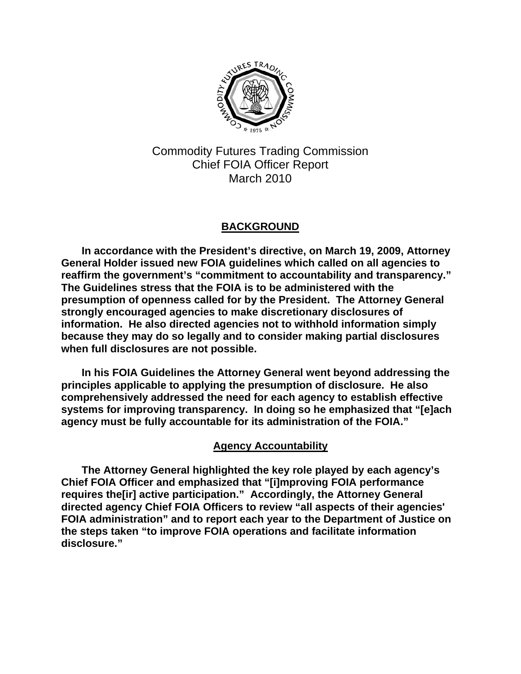

Commodity Futures Trading Commission Chief FOIA Officer Report March 2010

# **BACKGROUND**

**In accordance with the President's directive, on March 19, 2009, Attorney General Holder issued new FOIA guidelines which called on all agencies to reaffirm the government's "commitment to accountability and transparency." The Guidelines stress that the FOIA is to be administered with the presumption of openness called for by the President. The Attorney General strongly encouraged agencies to make discretionary disclosures of information. He also directed agencies not to withhold information simply because they may do so legally and to consider making partial disclosures when full disclosures are not possible.** 

**In his FOIA Guidelines the Attorney General went beyond addressing the principles applicable to applying the presumption of disclosure. He also comprehensively addressed the need for each agency to establish effective systems for improving transparency. In doing so he emphasized that "[e]ach agency must be fully accountable for its administration of the FOIA."** 

# **Agency Accountability**

**The Attorney General highlighted the key role played by each agency's Chief FOIA Officer and emphasized that "[i]mproving FOIA performance requires the[ir] active participation." Accordingly, the Attorney General directed agency Chief FOIA Officers to review "all aspects of their agencies' FOIA administration" and to report each year to the Department of Justice on the steps taken "to improve FOIA operations and facilitate information disclosure."**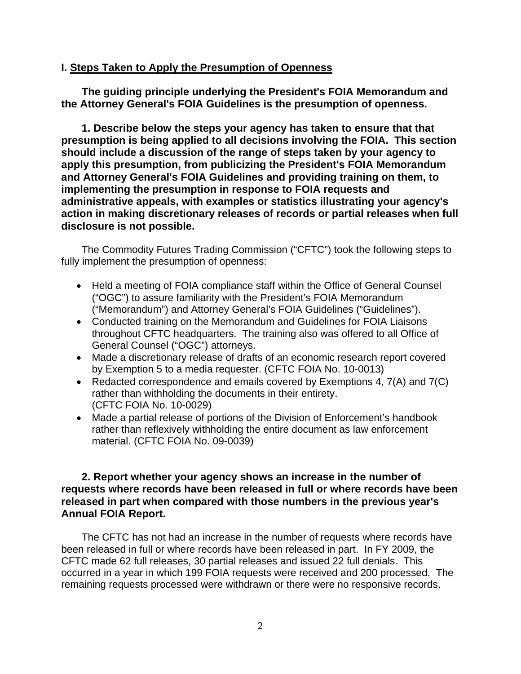#### **I. Steps Taken to Apply the Presumption of Openness**

**The guiding principle underlying the President's FOIA Memorandum and the Attorney General's FOIA Guidelines is the presumption of openness.** 

**1. Describe below the steps your agency has taken to ensure that that presumption is being applied to all decisions involving the FOIA. This section should include a discussion of the range of steps taken by your agency to apply this presumption, from publicizing the President's FOIA Memorandum and Attorney General's FOIA Guidelines and providing training on them, to implementing the presumption in response to FOIA requests and administrative appeals, with examples or statistics illustrating your agency's action in making discretionary releases of records or partial releases when full disclosure is not possible.** 

The Commodity Futures Trading Commission ("CFTC") took the following steps to fully implement the presumption of openness:

- Held a meeting of FOIA compliance staff within the Office of General Counsel ("OGC") to assure familiarity with the President's FOIA Memorandum ("Memorandum") and Attorney General's FOIA Guidelines ("Guidelines").
- Conducted training on the Memorandum and Guidelines for FOIA Liaisons throughout CFTC headquarters. The training also was offered to all Office of General Counsel ("OGC") attorneys.
- Made a discretionary release of drafts of an economic research report covered by Exemption 5 to a media requester. (CFTC FOIA No. 10-0013)
- Redacted correspondence and emails covered by Exemptions 4, 7(A) and 7(C) rather than withholding the documents in their entirety. (CFTC FOIA No. 10-0029)
- Made a partial release of portions of the Division of Enforcement's handbook rather than reflexively withholding the entire document as law enforcement material. (CFTC FOIA No. 09-0039)

## **2. Report whether your agency shows an increase in the number of requests where records have been released in full or where records have been released in part when compared with those numbers in the previous year's Annual FOIA Report.**

The CFTC has not had an increase in the number of requests where records have been released in full or where records have been released in part. In FY 2009, the CFTC made 62 full releases, 30 partial releases and issued 22 full denials. This occurred in a year in which 199 FOIA requests were received and 200 processed. The remaining requests processed were withdrawn or there were no responsive records.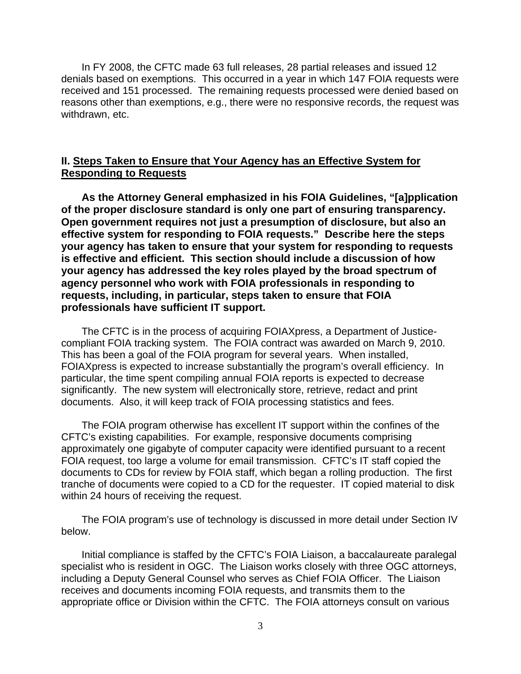In FY 2008, the CFTC made 63 full releases, 28 partial releases and issued 12 denials based on exemptions. This occurred in a year in which 147 FOIA requests were received and 151 processed. The remaining requests processed were denied based on reasons other than exemptions, e.g., there were no responsive records, the request was withdrawn, etc.

### **II. Steps Taken to Ensure that Your Agency has an Effective System for Responding to Requests**

**As the Attorney General emphasized in his FOIA Guidelines, "[a]pplication of the proper disclosure standard is only one part of ensuring transparency. Open government requires not just a presumption of disclosure, but also an effective system for responding to FOIA requests." Describe here the steps your agency has taken to ensure that your system for responding to requests is effective and efficient. This section should include a discussion of how your agency has addressed the key roles played by the broad spectrum of agency personnel who work with FOIA professionals in responding to requests, including, in particular, steps taken to ensure that FOIA professionals have sufficient IT support.** 

The CFTC is in the process of acquiring FOIAXpress, a Department of Justicecompliant FOIA tracking system. The FOIA contract was awarded on March 9, 2010. This has been a goal of the FOIA program for several years. When installed, FOIAXpress is expected to increase substantially the program's overall efficiency. In particular, the time spent compiling annual FOIA reports is expected to decrease significantly. The new system will electronically store, retrieve, redact and print documents. Also, it will keep track of FOIA processing statistics and fees.

The FOIA program otherwise has excellent IT support within the confines of the CFTC's existing capabilities. For example, responsive documents comprising approximately one gigabyte of computer capacity were identified pursuant to a recent FOIA request, too large a volume for email transmission. CFTC's IT staff copied the documents to CDs for review by FOIA staff, which began a rolling production. The first tranche of documents were copied to a CD for the requester. IT copied material to disk within 24 hours of receiving the request.

The FOIA program's use of technology is discussed in more detail under Section IV below.

Initial compliance is staffed by the CFTC's FOIA Liaison, a baccalaureate paralegal specialist who is resident in OGC. The Liaison works closely with three OGC attorneys, including a Deputy General Counsel who serves as Chief FOIA Officer. The Liaison receives and documents incoming FOIA requests, and transmits them to the appropriate office or Division within the CFTC. The FOIA attorneys consult on various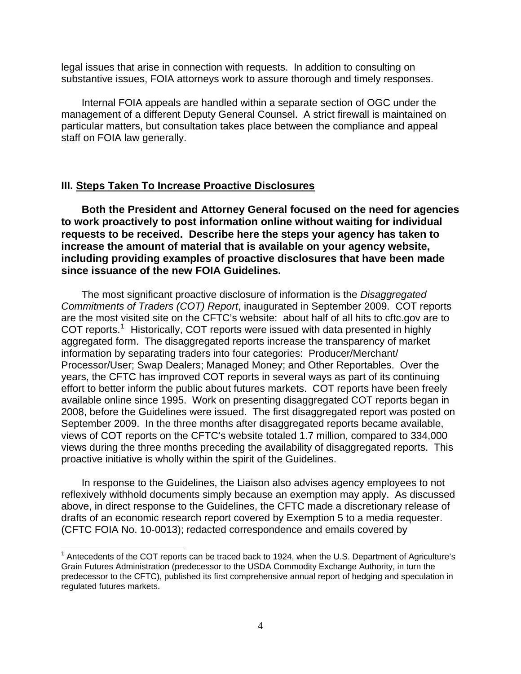legal issues that arise in connection with requests. In addition to consulting on substantive issues, FOIA attorneys work to assure thorough and timely responses.

Internal FOIA appeals are handled within a separate section of OGC under the management of a different Deputy General Counsel. A strict firewall is maintained on particular matters, but consultation takes place between the compliance and appeal staff on FOIA law generally.

#### **III. Steps Taken To Increase Proactive Disclosures**

 $\overline{a}$ 

**Both the President and Attorney General focused on the need for agencies to work proactively to post information online without waiting for individual requests to be received. Describe here the steps your agency has taken to increase the amount of material that is available on your agency website, including providing examples of proactive disclosures that have been made since issuance of the new FOIA Guidelines.** 

The most significant proactive disclosure of information is the *Disaggregated Commitments of Traders (COT) Report*, inaugurated in September 2009. COT reports are the most visited site on the CFTC's website: about half of all hits to cftc.gov are to COT reports.<sup>[1](#page-3-0)</sup> Historically, COT reports were issued with data presented in highly aggregated form. The disaggregated reports increase the transparency of market information by separating traders into four categories: Producer/Merchant/ Processor/User; Swap Dealers; Managed Money; and Other Reportables. Over the years, the CFTC has improved COT reports in several ways as part of its continuing effort to better inform the public about futures markets. COT reports have been freely available online since 1995. Work on presenting disaggregated COT reports began in 2008, before the Guidelines were issued. The first disaggregated report was posted on September 2009. In the three months after disaggregated reports became available, views of COT reports on the CFTC's website totaled 1.7 million, compared to 334,000 views during the three months preceding the availability of disaggregated reports. This proactive initiative is wholly within the spirit of the Guidelines.

In response to the Guidelines, the Liaison also advises agency employees to not reflexively withhold documents simply because an exemption may apply. As discussed above, in direct response to the Guidelines, the CFTC made a discretionary release of drafts of an economic research report covered by Exemption 5 to a media requester. (CFTC FOIA No. 10-0013); redacted correspondence and emails covered by

<span id="page-3-0"></span> $1$  Antecedents of the COT reports can be traced back to 1924, when the U.S. Department of Agriculture's Grain Futures Administration (predecessor to the USDA Commodity Exchange Authority, in turn the predecessor to the CFTC), published its first comprehensive annual report of hedging and speculation in regulated futures markets.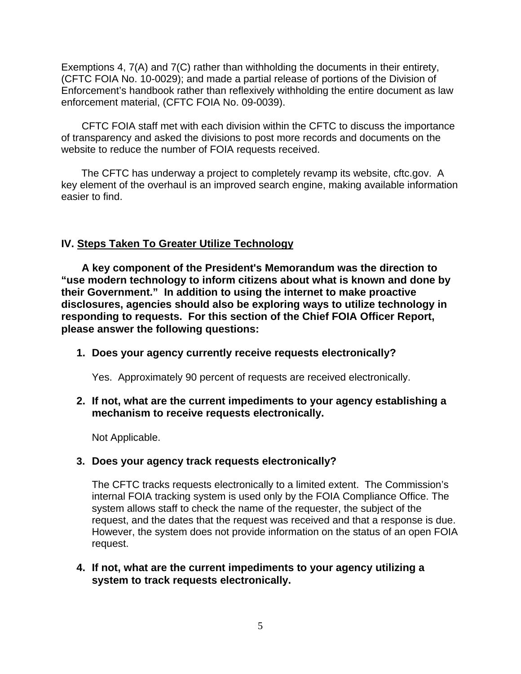Exemptions 4, 7(A) and 7(C) rather than withholding the documents in their entirety, (CFTC FOIA No. 10-0029); and made a partial release of portions of the Division of Enforcement's handbook rather than reflexively withholding the entire document as law enforcement material, (CFTC FOIA No. 09-0039).

CFTC FOIA staff met with each division within the CFTC to discuss the importance of transparency and asked the divisions to post more records and documents on the website to reduce the number of FOIA requests received.

The CFTC has underway a project to completely revamp its website, cftc.gov. A key element of the overhaul is an improved search engine, making available information easier to find.

# **IV. Steps Taken To Greater Utilize Technology**

**A key component of the President's Memorandum was the direction to "use modern technology to inform citizens about what is known and done by their Government." In addition to using the internet to make proactive disclosures, agencies should also be exploring ways to utilize technology in responding to requests. For this section of the Chief FOIA Officer Report, please answer the following questions:** 

#### **1. Does your agency currently receive requests electronically?**

Yes. Approximately 90 percent of requests are received electronically.

### **2. If not, what are the current impediments to your agency establishing a mechanism to receive requests electronically.**

Not Applicable.

#### **3. Does your agency track requests electronically?**

The CFTC tracks requests electronically to a limited extent. The Commission's internal FOIA tracking system is used only by the FOIA Compliance Office. The system allows staff to check the name of the requester, the subject of the request, and the dates that the request was received and that a response is due. However, the system does not provide information on the status of an open FOIA request.

### **4. If not, what are the current impediments to your agency utilizing a system to track requests electronically.**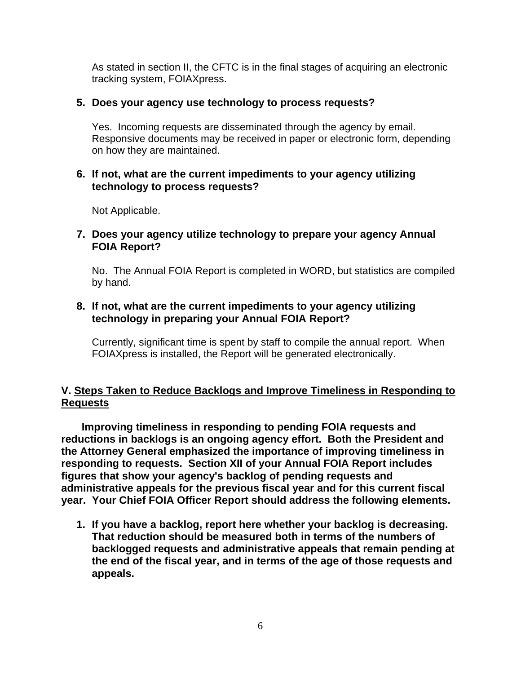As stated in section II, the CFTC is in the final stages of acquiring an electronic tracking system, FOIAXpress.

### **5. Does your agency use technology to process requests?**

Yes. Incoming requests are disseminated through the agency by email. Responsive documents may be received in paper or electronic form, depending on how they are maintained.

## **6. If not, what are the current impediments to your agency utilizing technology to process requests?**

Not Applicable.

## **7. Does your agency utilize technology to prepare your agency Annual FOIA Report?**

No. The Annual FOIA Report is completed in WORD, but statistics are compiled by hand.

## **8. If not, what are the current impediments to your agency utilizing technology in preparing your Annual FOIA Report?**

Currently, significant time is spent by staff to compile the annual report. When FOIAXpress is installed, the Report will be generated electronically.

### **V. Steps Taken to Reduce Backlogs and Improve Timeliness in Responding to Requests**

**Improving timeliness in responding to pending FOIA requests and reductions in backlogs is an ongoing agency effort. Both the President and the Attorney General emphasized the importance of improving timeliness in responding to requests. Section XII of your Annual FOIA Report includes figures that show your agency's backlog of pending requests and administrative appeals for the previous fiscal year and for this current fiscal year. Your Chief FOIA Officer Report should address the following elements.** 

**1. If you have a backlog, report here whether your backlog is decreasing. That reduction should be measured both in terms of the numbers of backlogged requests and administrative appeals that remain pending at the end of the fiscal year, and in terms of the age of those requests and appeals.**